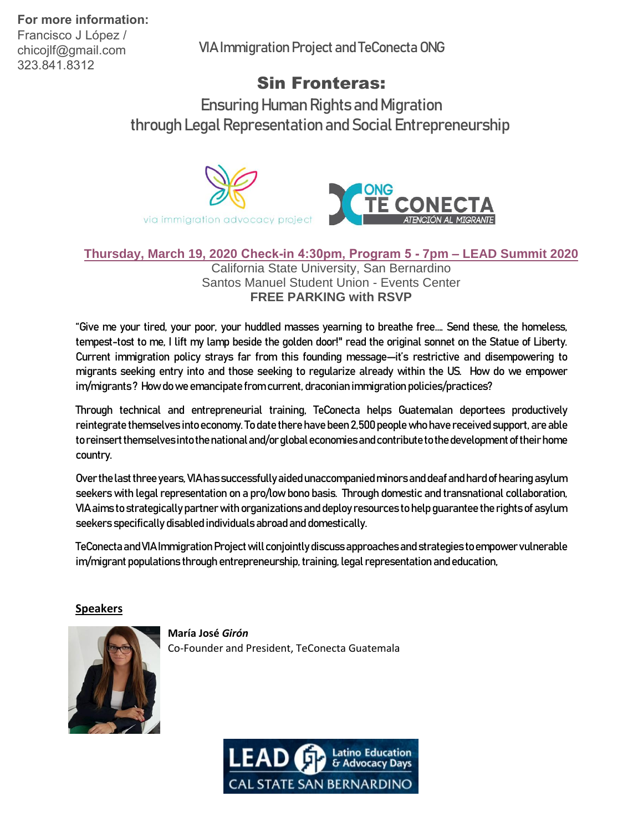Francisco J López / chicojlf@gmail.com 323.841.8312

VIA Immigration Project and TeConecta ONG

# Sin Fronteras:

Ensuring Human Rights and Migration through Legal Representation and Social Entrepreneurship



### **Thursday, March 19, 2020 [Check-in 4:30pm, Program 5 -](https://www.csusb.edu/lead-summit/lead-2020/sin-fronteras) 7pm – LEAD Summit 2020** California State University, San Bernardino

Santos Manuel Student Union - Events Center **FREE PARKING with RSVP**

"Give me your tired, your poor, your huddled masses yearning to breathe free…. Send these, the homeless, tempest-tost to me, I lift my lamp beside the golden door!" read the original sonnet on the Statue of Liberty. Current immigration policy strays far from this founding message—it's restrictive and disempowering to migrants seeking entry into and those seeking to regularize already within the US. How do we empower im/migrants ? How do we emancipate from current, draconian immigration policies/practices?

Through technical and entrepreneurial training, TeConecta helps Guatemalan deportees productively reintegrate themselves into economy. To date there have been 2,500 people who have received support, are able to reinsert themselves into the national and/or global economies andcontribute to the development of their home country.

Over the last three years, VIA has successfully aided unaccompanied minors and deaf and hard of hearing asylum seekers with legal representation on a pro/low bono basis. Through domestic and transnational collaboration, VIA aims to strategically partner with organizations and deploy resources to help guarantee the rights of asylum seekers specifically disabled individuals abroad and domestically.

TeConecta and VIA Immigration Project will conjointly discuss approaches and strategies to empower vulnerable im/migrant populations through entrepreneurship, training, legal representation and education,

#### **Speakers**



**María José** *Girón* Co-Founder and President, TeConecta Guatemala